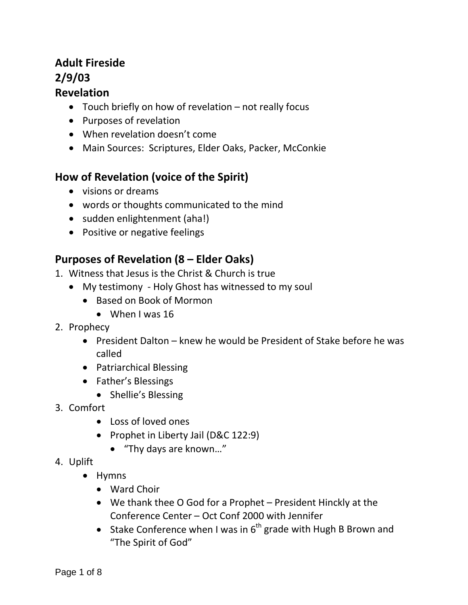# **Adult Fireside 2/9/03**

### **Revelation**

- Touch briefly on how of revelation not really focus
- Purposes of revelation
- When revelation doesn't come
- Main Sources: Scriptures, Elder Oaks, Packer, McConkie

## **How of Revelation (voice of the Spirit)**

- visions or dreams
- words or thoughts communicated to the mind
- sudden enlightenment (aha!)
- Positive or negative feelings

## **Purposes of Revelation (8 – Elder Oaks)**

- 1. Witness that Jesus is the Christ & Church is true
	- My testimony Holy Ghost has witnessed to my soul
		- Based on Book of Mormon
			- When I was 16
- 2. Prophecy
	- President Dalton knew he would be President of Stake before he was called
	- Patriarchical Blessing
	- Father's Blessings
		- Shellie's Blessing
- 3. Comfort
	- Loss of loved ones
	- Prophet in Liberty Jail (D&C 122:9)
		- "Thy days are known…"
- 4. Uplift
	- Hymns
		- Ward Choir
		- We thank thee O God for a Prophet President Hinckly at the Conference Center – Oct Conf 2000 with Jennifer
		- Stake Conference when I was in  $6<sup>th</sup>$  grade with Hugh B Brown and "The Spirit of God"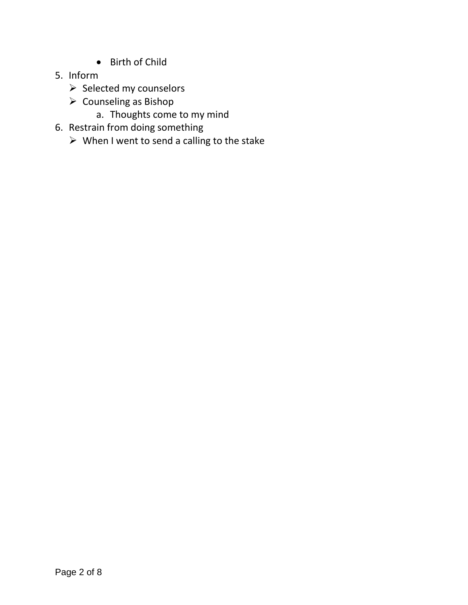- Birth of Child
- 5. Inform
	- $\triangleright$  Selected my counselors
	- $\triangleright$  Counseling as Bishop
		- a. Thoughts come to my mind
- 6. Restrain from doing something
	- $\triangleright$  When I went to send a calling to the stake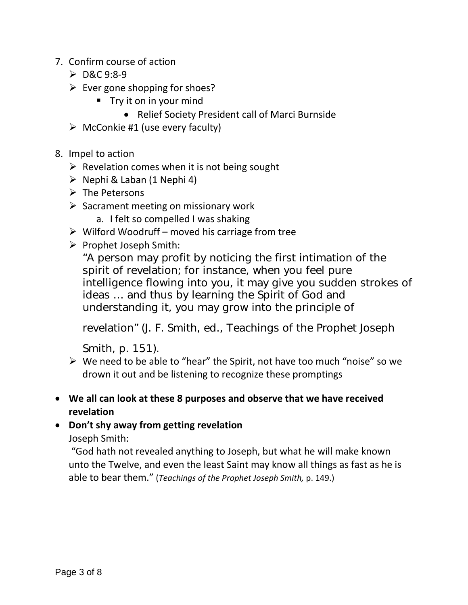- 7. Confirm course of action
	- $\triangleright$  D&C 9:8-9
	- $\triangleright$  Ever gone shopping for shoes?
		- $\blacksquare$  Try it on in your mind
			- Relief Society President call of Marci Burnside
	- $\triangleright$  McConkie #1 (use every faculty)
- 8. Impel to action
	- $\triangleright$  Revelation comes when it is not being sought
	- $\triangleright$  Nephi & Laban (1 Nephi 4)
	- $\triangleright$  The Petersons
	- $\triangleright$  Sacrament meeting on missionary work
		- a. I felt so compelled I was shaking
	- $\triangleright$  Wilford Woodruff moved his carriage from tree
	- $\triangleright$  Prophet Joseph Smith:

"A person may profit by noticing the first intimation of the spirit of revelation; for instance, when you feel pure intelligence flowing into you, it may give you sudden strokes of ideas … and thus by learning the Spirit of God and understanding it, you may grow into the principle of

revelation" (J. F. Smith, ed., Teachings of the Prophet Joseph

Smith, p. 151).

- $\triangleright$  We need to be able to "hear" the Spirit, not have too much "noise" so we drown it out and be listening to recognize these promptings
- **We all can look at these 8 purposes and observe that we have received revelation**
- **Don't shy away from getting revelation**

Joseph Smith:

"God hath not revealed anything to Joseph, but what he will make known unto the Twelve, and even the least Saint may know all things as fast as he is able to bear them." (*Teachings of the Prophet Joseph Smith,* p. 149.)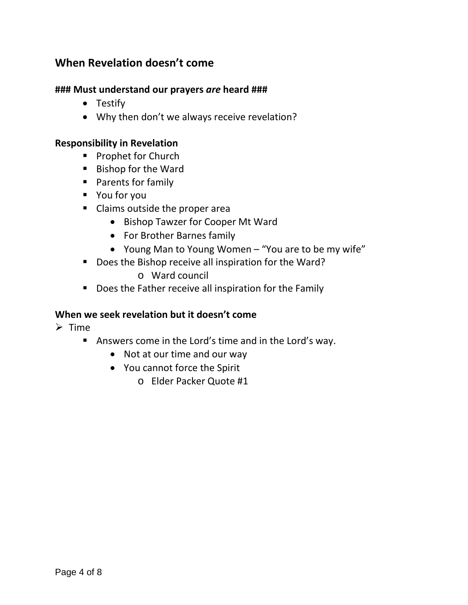## **When Revelation doesn't come**

#### **### Must understand our prayers** *are* **heard ###**

- Testify
- Why then don't we always receive revelation?

#### **Responsibility in Revelation**

- **Prophet for Church**
- Bishop for the Ward
- **Parents for family**
- You for you
- Claims outside the proper area
	- Bishop Tawzer for Cooper Mt Ward
	- For Brother Barnes family
	- Young Man to Young Women "You are to be my wife"
- Does the Bishop receive all inspiration for the Ward?
	- o Ward council
- Does the Father receive all inspiration for the Family

#### **When we seek revelation but it doesn't come**

- $\triangleright$  Time
	- Answers come in the Lord's time and in the Lord's way.
		- Not at our time and our way
		- You cannot force the Spirit
			- o Elder Packer Quote #1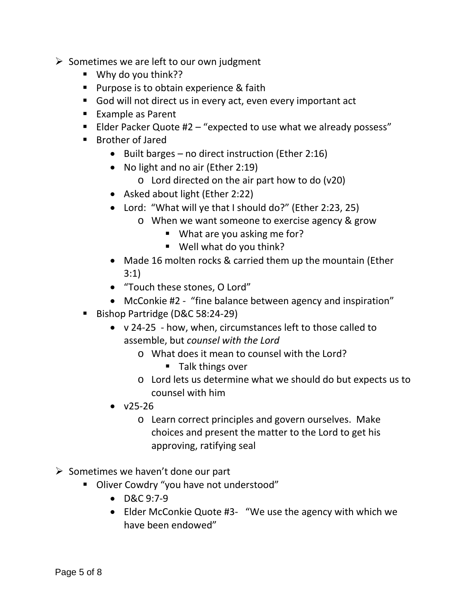- $\triangleright$  Sometimes we are left to our own judgment
	- Why do you think??
	- **Purpose is to obtain experience & faith**
	- God will not direct us in every act, even every important act
	- Example as Parent
	- Elder Packer Quote  $#2 "expected to use what we already possess"$
	- **Brother of Jared** 
		- Built barges no direct instruction (Ether 2:16)
		- No light and no air (Ether 2:19)
			- o Lord directed on the air part how to do (v20)
		- Asked about light (Ether 2:22)
		- Lord: "What will ye that I should do?" (Ether 2:23, 25)
			- o When we want someone to exercise agency & grow
				- **What are you asking me for?**
				- Well what do you think?
		- Made 16 molten rocks & carried them up the mountain (Ether 3:1)
		- "Touch these stones, O Lord"
		- McConkie #2 "fine balance between agency and inspiration"
	- Bishop Partridge (D&C 58:24-29)
		- v 24-25 how, when, circumstances left to those called to assemble, but *counsel with the Lord*
			- o What does it mean to counsel with the Lord?
				- $\blacksquare$  Talk things over
			- o Lord lets us determine what we should do but expects us to counsel with him
		- $\bullet$  v25-26
			- o Learn correct principles and govern ourselves. Make choices and present the matter to the Lord to get his approving, ratifying seal
- $\triangleright$  Sometimes we haven't done our part
	- **-** Oliver Cowdry "you have not understood"
		- D&C 9:7-9
		- Elder McConkie Quote #3- "We use the agency with which we have been endowed"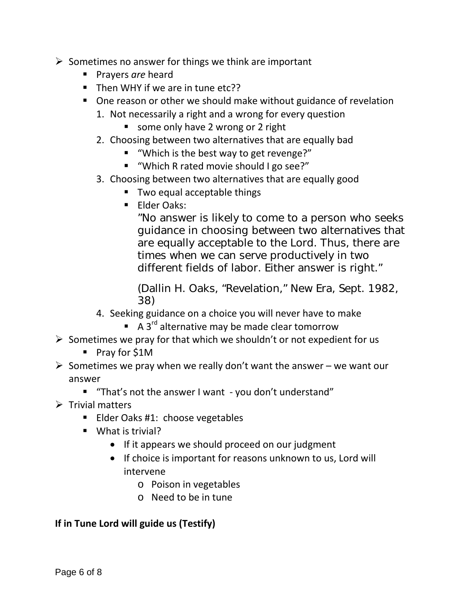- $\triangleright$  Sometimes no answer for things we think are important
	- **Prayers are heard**
	- Then WHY if we are in tune etc??
	- One reason or other we should make without guidance of revelation
		- 1. Not necessarily a right and a wrong for every question
			- some only have 2 wrong or 2 right
		- 2. Choosing between two alternatives that are equally bad
			- "Which is the best way to get revenge?"
			- "Which R rated movie should I go see?"
		- 3. Choosing between two alternatives that are equally good
			- Two equal acceptable things
			- **Elder Oaks:**

"No answer is likely to come to a person who seeks guidance in choosing between two alternatives that are equally acceptable to the Lord. Thus, there are times when we can serve productively in two different fields of labor. Either answer is right."

(Dallin H. Oaks, "Revelation," New Era, Sept. 1982, 38)

- 4. Seeking guidance on a choice you will never have to make
	- $\blacksquare$  A 3<sup>rd</sup> alternative may be made clear tomorrow
- $\triangleright$  Sometimes we pray for that which we shouldn't or not expedient for us
	- Pray for \$1M
- $\triangleright$  Sometimes we pray when we really don't want the answer we want our answer
	- "That's not the answer I want you don't understand"
- $\triangleright$  Trivial matters
	- **Elder Oaks #1: choose vegetables**
	- What is trivial?
		- If it appears we should proceed on our judgment
		- If choice is important for reasons unknown to us, Lord will intervene
			- o Poison in vegetables
			- o Need to be in tune

#### **If in Tune Lord will guide us (Testify)**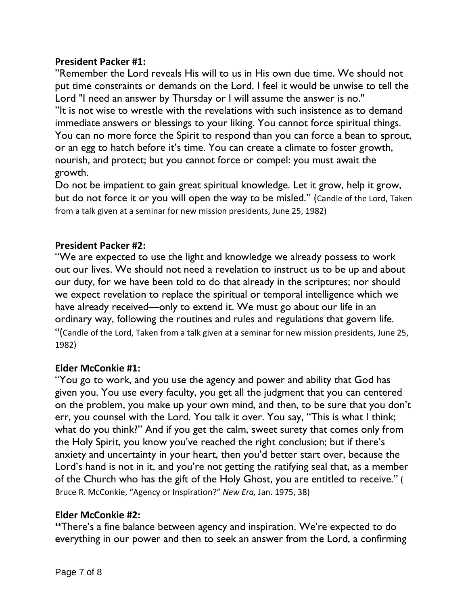#### **President Packer #1:**

"Remember the Lord reveals His will to us in His own due time. We should not put time constraints or demands on the Lord. I feel it would be unwise to tell the Lord "I need an answer by Thursday or I will assume the answer is no." "It is not wise to wrestle with the revelations with such insistence as to demand immediate answers or blessings to your liking. You cannot force spiritual things. You can no more force the Spirit to respond than you can force a bean to sprout, or an egg to hatch before it's time. You can create a climate to foster growth, nourish, and protect; but you cannot force or compel: you must await the growth.

Do not be impatient to gain great spiritual knowledge. Let it grow, help it grow, but do not force it or you will open the way to be misled." (Candle of the Lord, Taken from a talk given at a seminar for new mission presidents, June 25, 1982)

#### **President Packer #2:**

"We are expected to use the light and knowledge we already possess to work out our lives. We should not need a revelation to instruct us to be up and about our duty, for we have been told to do that already in the scriptures; nor should we expect revelation to replace the spiritual or temporal intelligence which we have already received—only to extend it. We must go about our life in an ordinary way, following the routines and rules and regulations that govern life. "(Candle of the Lord, Taken from a talk given at a seminar for new mission presidents, June 25, 1982)

#### **Elder McConkie #1:**

"You go to work, and you use the agency and power and ability that God has given you. You use every faculty, you get all the judgment that you can centered on the problem, you make up your own mind, and then, to be sure that you don't err, you counsel with the Lord. You talk it over. You say, "This is what I think; what do you think?" And if you get the calm, sweet surety that comes only from the Holy Spirit, you know you've reached the right conclusion; but if there's anxiety and uncertainty in your heart, then you'd better start over, because the Lord's hand is not in it, and you're not getting the ratifying seal that, as a member of the Church who has the gift of the Holy Ghost, you are entitled to receive." ( Bruce R. McConkie, "Agency or Inspiration?" *New Era,* Jan. 1975, 38)

#### **Elder McConkie #2:**

**"**There's a fine balance between agency and inspiration. We're expected to do everything in our power and then to seek an answer from the Lord, a confirming